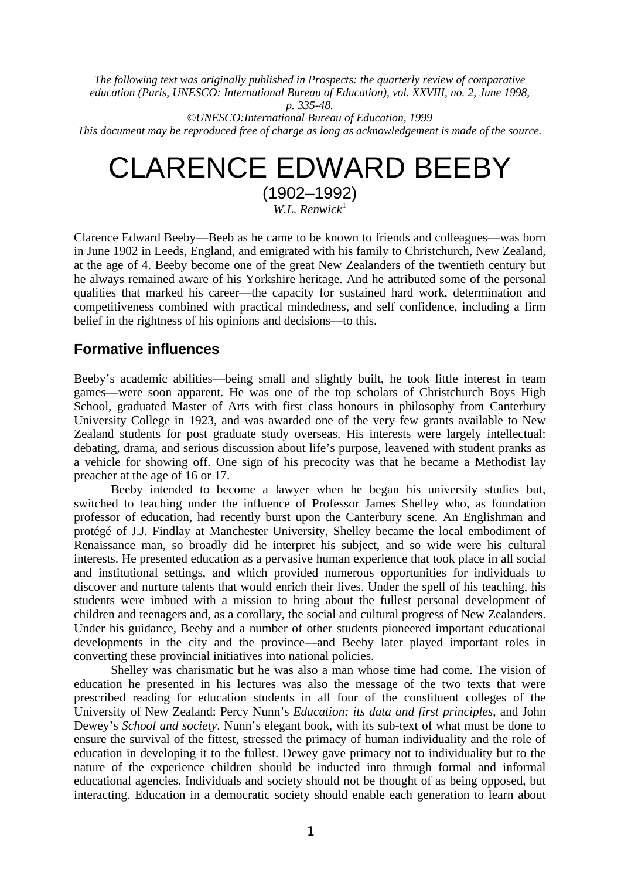*The following text was originally published in Prospects: the quarterly review of comparative education (Paris, UNESCO: International Bureau of Education), vol. XXVIII, no. 2, June 1998, p. 335-48.*

*©UNESCO:International Bureau of Education, 1999 This document may be reproduced free of charge as long as acknowledgement is made of the source.*

# CLARENCE EDWARD BEEBY

(1902–1992) *W.L. Renwick*<sup>1</sup>

Clarence Edward Beeby—Beeb as he came to be known to friends and colleagues—was born in June 1902 in Leeds, England, and emigrated with his family to Christchurch, New Zealand, at the age of 4. Beeby become one of the great New Zealanders of the twentieth century but he always remained aware of his Yorkshire heritage. And he attributed some of the personal qualities that marked his career—the capacity for sustained hard work, determination and competitiveness combined with practical mindedness, and self confidence, including a firm belief in the rightness of his opinions and decisions—to this.

# **Formative influences**

Beeby's academic abilities—being small and slightly built, he took little interest in team games—were soon apparent. He was one of the top scholars of Christchurch Boys High School, graduated Master of Arts with first class honours in philosophy from Canterbury University College in 1923, and was awarded one of the very few grants available to New Zealand students for post graduate study overseas. His interests were largely intellectual: debating, drama, and serious discussion about life's purpose, leavened with student pranks as a vehicle for showing off. One sign of his precocity was that he became a Methodist lay preacher at the age of 16 or 17.

Beeby intended to become a lawyer when he began his university studies but, switched to teaching under the influence of Professor James Shelley who, as foundation professor of education, had recently burst upon the Canterbury scene. An Englishman and protégé of J.J. Findlay at Manchester University, Shelley became the local embodiment of Renaissance man, so broadly did he interpret his subject, and so wide were his cultural interests. He presented education as a pervasive human experience that took place in all social and institutional settings, and which provided numerous opportunities for individuals to discover and nurture talents that would enrich their lives. Under the spell of his teaching, his students were imbued with a mission to bring about the fullest personal development of children and teenagers and, as a corollary, the social and cultural progress of New Zealanders. Under his guidance, Beeby and a number of other students pioneered important educational developments in the city and the province—and Beeby later played important roles in converting these provincial initiatives into national policies.

Shelley was charismatic but he was also a man whose time had come. The vision of education he presented in his lectures was also the message of the two texts that were prescribed reading for education students in all four of the constituent colleges of the University of New Zealand: Percy Nunn's *Education: its data and first principles*, and John Dewey's *School and society*. Nunn's elegant book, with its sub-text of what must be done to ensure the survival of the fittest, stressed the primacy of human individuality and the role of education in developing it to the fullest. Dewey gave primacy not to individuality but to the nature of the experience children should be inducted into through formal and informal educational agencies. Individuals and society should not be thought of as being opposed, but interacting. Education in a democratic society should enable each generation to learn about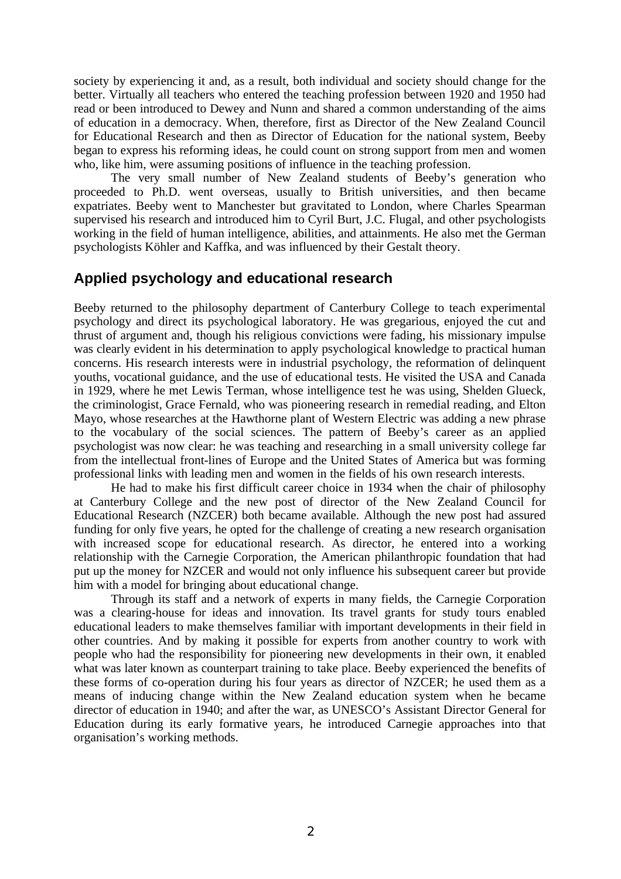society by experiencing it and, as a result, both individual and society should change for the better. Virtually all teachers who entered the teaching profession between 1920 and 1950 had read or been introduced to Dewey and Nunn and shared a common understanding of the aims of education in a democracy. When, therefore, first as Director of the New Zealand Council for Educational Research and then as Director of Education for the national system, Beeby began to express his reforming ideas, he could count on strong support from men and women who, like him, were assuming positions of influence in the teaching profession.

The very small number of New Zealand students of Beeby's generation who proceeded to Ph.D. went overseas, usually to British universities, and then became expatriates. Beeby went to Manchester but gravitated to London, where Charles Spearman supervised his research and introduced him to Cyril Burt, J.C. Flugal, and other psychologists working in the field of human intelligence, abilities, and attainments. He also met the German psychologists Köhler and Kaffka, and was influenced by their Gestalt theory.

# **Applied psychology and educational research**

Beeby returned to the philosophy department of Canterbury College to teach experimental psychology and direct its psychological laboratory. He was gregarious, enjoyed the cut and thrust of argument and, though his religious convictions were fading, his missionary impulse was clearly evident in his determination to apply psychological knowledge to practical human concerns. His research interests were in industrial psychology, the reformation of delinquent youths, vocational guidance, and the use of educational tests. He visited the USA and Canada in 1929, where he met Lewis Terman, whose intelligence test he was using, Shelden Glueck, the criminologist, Grace Fernald, who was pioneering research in remedial reading, and Elton Mayo, whose researches at the Hawthorne plant of Western Electric was adding a new phrase to the vocabulary of the social sciences. The pattern of Beeby's career as an applied psychologist was now clear: he was teaching and researching in a small university college far from the intellectual front-lines of Europe and the United States of America but was forming professional links with leading men and women in the fields of his own research interests.

He had to make his first difficult career choice in 1934 when the chair of philosophy at Canterbury College and the new post of director of the New Zealand Council for Educational Research (NZCER) both became available. Although the new post had assured funding for only five years, he opted for the challenge of creating a new research organisation with increased scope for educational research. As director, he entered into a working relationship with the Carnegie Corporation, the American philanthropic foundation that had put up the money for NZCER and would not only influence his subsequent career but provide him with a model for bringing about educational change.

Through its staff and a network of experts in many fields, the Carnegie Corporation was a clearing-house for ideas and innovation. Its travel grants for study tours enabled educational leaders to make themselves familiar with important developments in their field in other countries. And by making it possible for experts from another country to work with people who had the responsibility for pioneering new developments in their own, it enabled what was later known as counterpart training to take place. Beeby experienced the benefits of these forms of co-operation during his four years as director of NZCER; he used them as a means of inducing change within the New Zealand education system when he became director of education in 1940; and after the war, as UNESCO's Assistant Director General for Education during its early formative years, he introduced Carnegie approaches into that organisation's working methods.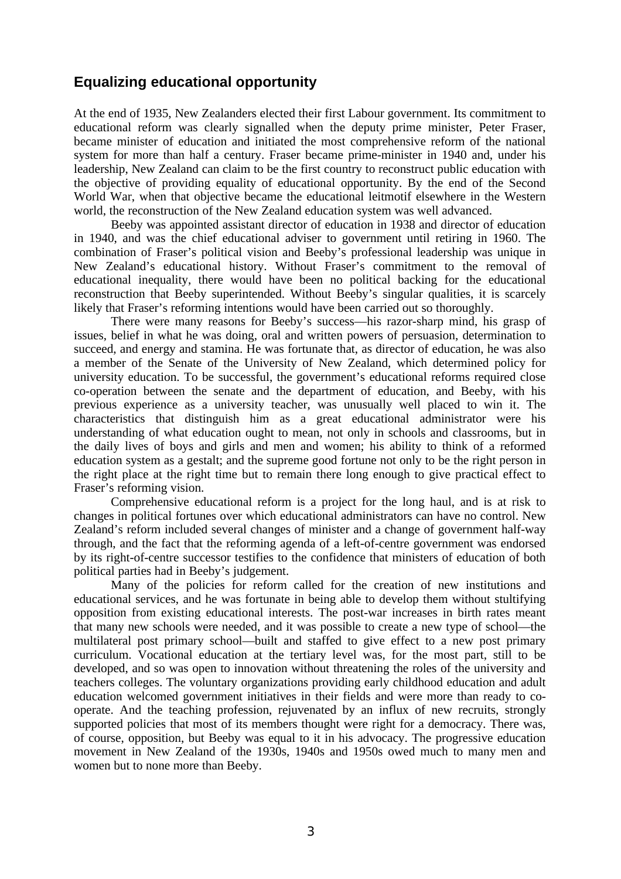## **Equalizing educational opportunity**

At the end of 1935, New Zealanders elected their first Labour government. Its commitment to educational reform was clearly signalled when the deputy prime minister, Peter Fraser, became minister of education and initiated the most comprehensive reform of the national system for more than half a century. Fraser became prime-minister in 1940 and, under his leadership, New Zealand can claim to be the first country to reconstruct public education with the objective of providing equality of educational opportunity. By the end of the Second World War, when that objective became the educational leitmotif elsewhere in the Western world, the reconstruction of the New Zealand education system was well advanced.

Beeby was appointed assistant director of education in 1938 and director of education in 1940, and was the chief educational adviser to government until retiring in 1960. The combination of Fraser's political vision and Beeby's professional leadership was unique in New Zealand's educational history. Without Fraser's commitment to the removal of educational inequality, there would have been no political backing for the educational reconstruction that Beeby superintended. Without Beeby's singular qualities, it is scarcely likely that Fraser's reforming intentions would have been carried out so thoroughly.

There were many reasons for Beeby's success—his razor-sharp mind, his grasp of issues, belief in what he was doing, oral and written powers of persuasion, determination to succeed, and energy and stamina. He was fortunate that, as director of education, he was also a member of the Senate of the University of New Zealand, which determined policy for university education. To be successful, the government's educational reforms required close co-operation between the senate and the department of education, and Beeby, with his previous experience as a university teacher, was unusually well placed to win it. The characteristics that distinguish him as a great educational administrator were his understanding of what education ought to mean, not only in schools and classrooms, but in the daily lives of boys and girls and men and women; his ability to think of a reformed education system as a gestalt; and the supreme good fortune not only to be the right person in the right place at the right time but to remain there long enough to give practical effect to Fraser's reforming vision.

Comprehensive educational reform is a project for the long haul, and is at risk to changes in political fortunes over which educational administrators can have no control. New Zealand's reform included several changes of minister and a change of government half-way through, and the fact that the reforming agenda of a left-of-centre government was endorsed by its right-of-centre successor testifies to the confidence that ministers of education of both political parties had in Beeby's judgement.

Many of the policies for reform called for the creation of new institutions and educational services, and he was fortunate in being able to develop them without stultifying opposition from existing educational interests. The post-war increases in birth rates meant that many new schools were needed, and it was possible to create a new type of school—the multilateral post primary school—built and staffed to give effect to a new post primary curriculum. Vocational education at the tertiary level was, for the most part, still to be developed, and so was open to innovation without threatening the roles of the university and teachers colleges. The voluntary organizations providing early childhood education and adult education welcomed government initiatives in their fields and were more than ready to cooperate. And the teaching profession, rejuvenated by an influx of new recruits, strongly supported policies that most of its members thought were right for a democracy. There was, of course, opposition, but Beeby was equal to it in his advocacy. The progressive education movement in New Zealand of the 1930s, 1940s and 1950s owed much to many men and women but to none more than Beeby.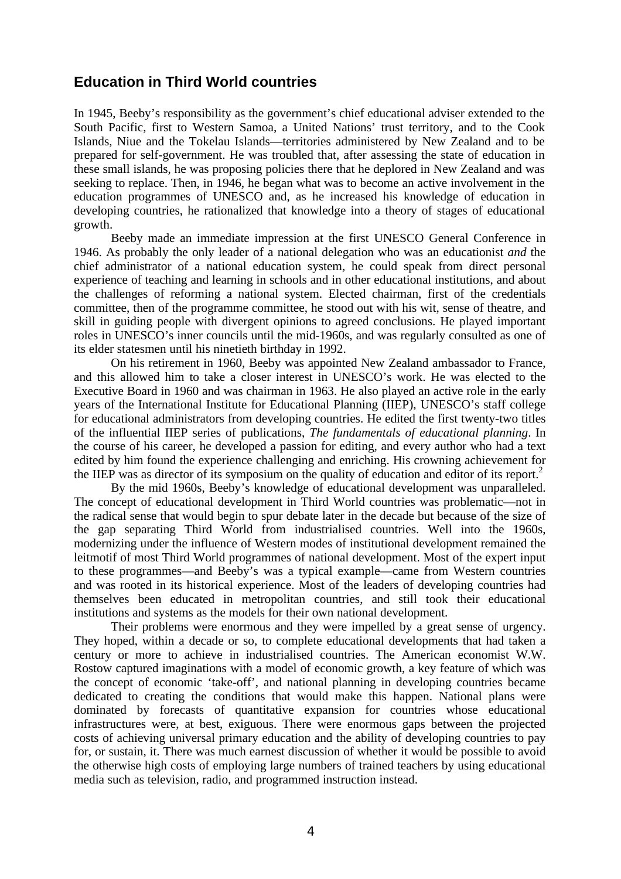## **Education in Third World countries**

In 1945, Beeby's responsibility as the government's chief educational adviser extended to the South Pacific, first to Western Samoa, a United Nations' trust territory, and to the Cook Islands, Niue and the Tokelau Islands—territories administered by New Zealand and to be prepared for self-government. He was troubled that, after assessing the state of education in these small islands, he was proposing policies there that he deplored in New Zealand and was seeking to replace. Then, in 1946, he began what was to become an active involvement in the education programmes of UNESCO and, as he increased his knowledge of education in developing countries, he rationalized that knowledge into a theory of stages of educational growth.

Beeby made an immediate impression at the first UNESCO General Conference in 1946. As probably the only leader of a national delegation who was an educationist *and* the chief administrator of a national education system, he could speak from direct personal experience of teaching and learning in schools and in other educational institutions, and about the challenges of reforming a national system. Elected chairman, first of the credentials committee, then of the programme committee, he stood out with his wit, sense of theatre, and skill in guiding people with divergent opinions to agreed conclusions. He played important roles in UNESCO's inner councils until the mid-1960s, and was regularly consulted as one of its elder statesmen until his ninetieth birthday in 1992.

On his retirement in 1960, Beeby was appointed New Zealand ambassador to France, and this allowed him to take a closer interest in UNESCO's work. He was elected to the Executive Board in 1960 and was chairman in 1963. He also played an active role in the early years of the International Institute for Educational Planning (IIEP), UNESCO's staff college for educational administrators from developing countries. He edited the first twenty-two titles of the influential IIEP series of publications, *The fundamentals of educational planning*. In the course of his career, he developed a passion for editing, and every author who had a text edited by him found the experience challenging and enriching. His crowning achievement for the IIEP was as director of its symposium on the quality of education and editor of its report.<sup>2</sup>

By the mid 1960s, Beeby's knowledge of educational development was unparalleled. The concept of educational development in Third World countries was problematic—not in the radical sense that would begin to spur debate later in the decade but because of the size of the gap separating Third World from industrialised countries. Well into the 1960s, modernizing under the influence of Western modes of institutional development remained the leitmotif of most Third World programmes of national development. Most of the expert input to these programmes—and Beeby's was a typical example—came from Western countries and was rooted in its historical experience. Most of the leaders of developing countries had themselves been educated in metropolitan countries, and still took their educational institutions and systems as the models for their own national development.

Their problems were enormous and they were impelled by a great sense of urgency. They hoped, within a decade or so, to complete educational developments that had taken a century or more to achieve in industrialised countries. The American economist W.W. Rostow captured imaginations with a model of economic growth, a key feature of which was the concept of economic 'take-off', and national planning in developing countries became dedicated to creating the conditions that would make this happen. National plans were dominated by forecasts of quantitative expansion for countries whose educational infrastructures were, at best, exiguous. There were enormous gaps between the projected costs of achieving universal primary education and the ability of developing countries to pay for, or sustain, it. There was much earnest discussion of whether it would be possible to avoid the otherwise high costs of employing large numbers of trained teachers by using educational media such as television, radio, and programmed instruction instead.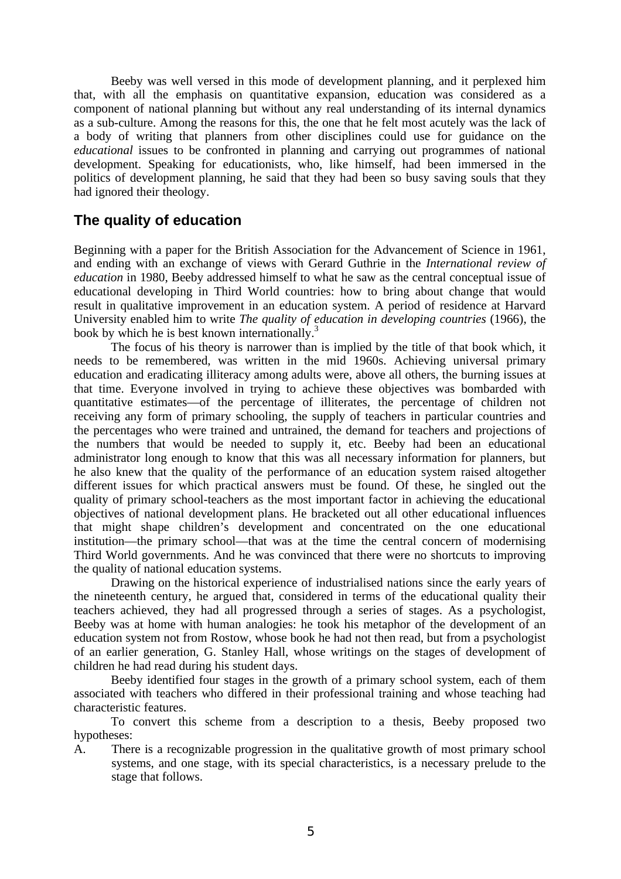Beeby was well versed in this mode of development planning, and it perplexed him that, with all the emphasis on quantitative expansion, education was considered as a component of national planning but without any real understanding of its internal dynamics as a sub-culture. Among the reasons for this, the one that he felt most acutely was the lack of a body of writing that planners from other disciplines could use for guidance on the *educational* issues to be confronted in planning and carrying out programmes of national development. Speaking for educationists, who, like himself, had been immersed in the politics of development planning, he said that they had been so busy saving souls that they had ignored their theology.

# **The quality of education**

Beginning with a paper for the British Association for the Advancement of Science in 1961, and ending with an exchange of views with Gerard Guthrie in the *International review of education* in 1980, Beeby addressed himself to what he saw as the central conceptual issue of educational developing in Third World countries: how to bring about change that would result in qualitative improvement in an education system. A period of residence at Harvard University enabled him to write *The quality of education in developing countries* (1966), the book by which he is best known internationally.<sup>3</sup>

The focus of his theory is narrower than is implied by the title of that book which, it needs to be remembered, was written in the mid 1960s. Achieving universal primary education and eradicating illiteracy among adults were, above all others, the burning issues at that time. Everyone involved in trying to achieve these objectives was bombarded with quantitative estimates—of the percentage of illiterates, the percentage of children not receiving any form of primary schooling, the supply of teachers in particular countries and the percentages who were trained and untrained, the demand for teachers and projections of the numbers that would be needed to supply it, etc. Beeby had been an educational administrator long enough to know that this was all necessary information for planners, but he also knew that the quality of the performance of an education system raised altogether different issues for which practical answers must be found. Of these, he singled out the quality of primary school-teachers as the most important factor in achieving the educational objectives of national development plans. He bracketed out all other educational influences that might shape children's development and concentrated on the one educational institution—the primary school—that was at the time the central concern of modernising Third World governments. And he was convinced that there were no shortcuts to improving the quality of national education systems.

Drawing on the historical experience of industrialised nations since the early years of the nineteenth century, he argued that, considered in terms of the educational quality their teachers achieved, they had all progressed through a series of stages. As a psychologist, Beeby was at home with human analogies: he took his metaphor of the development of an education system not from Rostow, whose book he had not then read, but from a psychologist of an earlier generation, G. Stanley Hall, whose writings on the stages of development of children he had read during his student days.

Beeby identified four stages in the growth of a primary school system, each of them associated with teachers who differed in their professional training and whose teaching had characteristic features.

To convert this scheme from a description to a thesis, Beeby proposed two hypotheses:

A. There is a recognizable progression in the qualitative growth of most primary school systems, and one stage, with its special characteristics, is a necessary prelude to the stage that follows.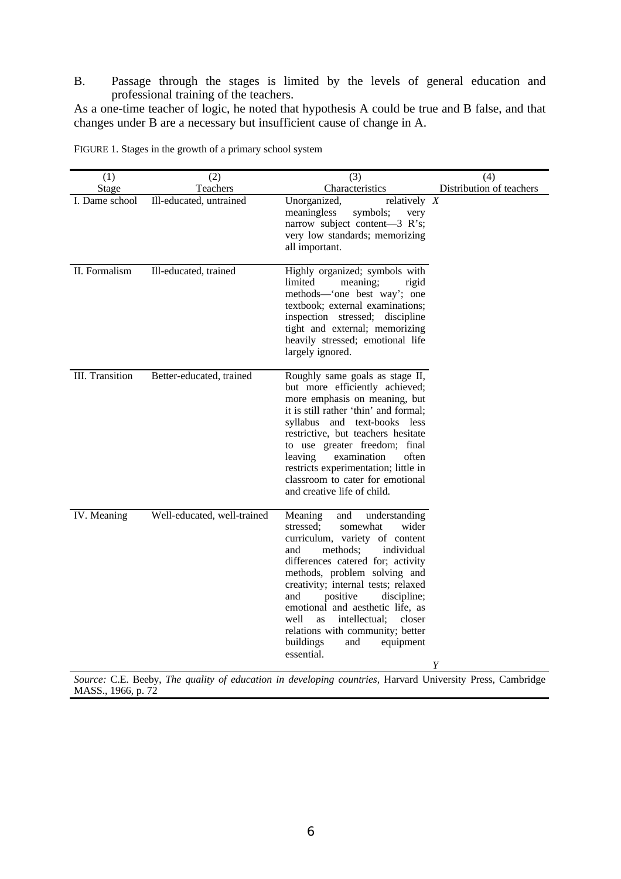B. Passage through the stages is limited by the levels of general education and professional training of the teachers.

As a one-time teacher of logic, he noted that hypothesis A could be true and B false, and that changes under B are a necessary but insufficient cause of change in A.

| (1)             | (2)                         | (3)                                                                                                                                                                                                                                                                                                                                                                                                                                                | (4)                      |
|-----------------|-----------------------------|----------------------------------------------------------------------------------------------------------------------------------------------------------------------------------------------------------------------------------------------------------------------------------------------------------------------------------------------------------------------------------------------------------------------------------------------------|--------------------------|
| Stage           | Teachers                    | Characteristics                                                                                                                                                                                                                                                                                                                                                                                                                                    | Distribution of teachers |
| I. Dame school  | Ill-educated, untrained     | Unorganized,<br>relatively $X$<br>meaningless<br>symbols;<br>very<br>narrow subject content-3 R's;<br>very low standards; memorizing<br>all important.                                                                                                                                                                                                                                                                                             |                          |
| II. Formalism   | Ill-educated, trained       | Highly organized; symbols with<br>limited<br>meaning;<br>rigid<br>methods—'one best way'; one<br>textbook; external examinations;<br>inspection stressed; discipline<br>tight and external; memorizing<br>heavily stressed; emotional life<br>largely ignored.                                                                                                                                                                                     |                          |
| III. Transition | Better-educated, trained    | Roughly same goals as stage II,<br>but more efficiently achieved;<br>more emphasis on meaning, but<br>it is still rather 'thin' and formal;<br>syllabus and text-books less<br>restrictive, but teachers hesitate<br>to use greater freedom; final<br>examination<br>leaving<br>often<br>restricts experimentation; little in<br>classroom to cater for emotional<br>and creative life of child.                                                   |                          |
| IV. Meaning     | Well-educated, well-trained | Meaning<br>and<br>understanding<br>stressed:<br>wider<br>somewhat<br>curriculum, variety of content<br>methods;<br>individual<br>and<br>differences catered for; activity<br>methods, problem solving and<br>creativity; internal tests; relaxed<br>positive<br>discipline;<br>and<br>emotional and aesthetic life, as<br>intellectual;<br>well<br>as<br>closer<br>relations with community; better<br>buildings<br>equipment<br>and<br>essential. | Y                        |

FIGURE 1. Stages in the growth of a primary school system

*Source: C.E. Beeby, The quality of education in developing countries, Harvard University Press, Cambridge* MASS., 1966, p. 72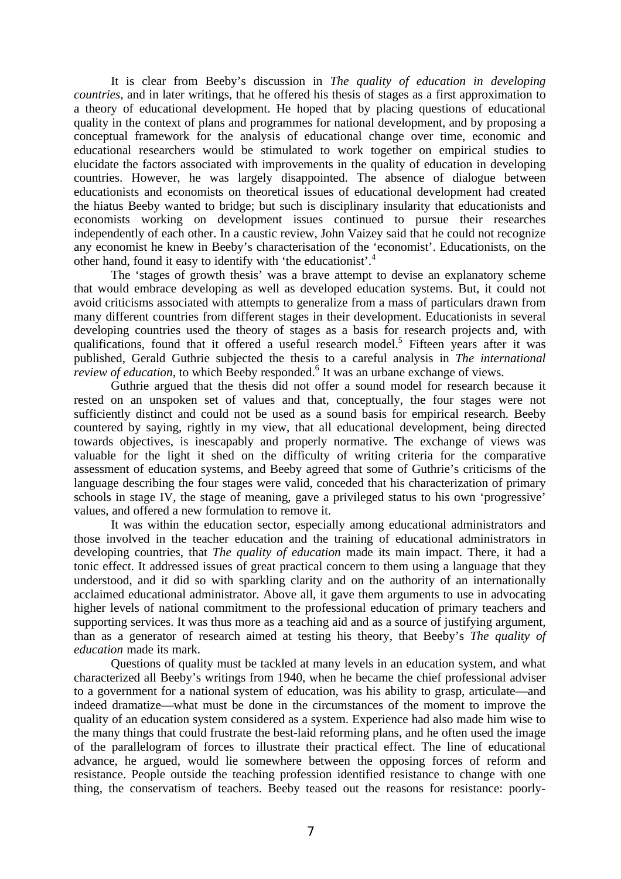It is clear from Beeby's discussion in *The quality of education in developing countries,* and in later writings, that he offered his thesis of stages as a first approximation to a theory of educational development. He hoped that by placing questions of educational quality in the context of plans and programmes for national development, and by proposing a conceptual framework for the analysis of educational change over time, economic and educational researchers would be stimulated to work together on empirical studies to elucidate the factors associated with improvements in the quality of education in developing countries. However, he was largely disappointed. The absence of dialogue between educationists and economists on theoretical issues of educational development had created the hiatus Beeby wanted to bridge; but such is disciplinary insularity that educationists and economists working on development issues continued to pursue their researches independently of each other. In a caustic review, John Vaizey said that he could not recognize any economist he knew in Beeby's characterisation of the 'economist'. Educationists, on the other hand, found it easy to identify with 'the educationist'. 4

The 'stages of growth thesis' was a brave attempt to devise an explanatory scheme that would embrace developing as well as developed education systems. But, it could not avoid criticisms associated with attempts to generalize from a mass of particulars drawn from many different countries from different stages in their development. Educationists in several developing countries used the theory of stages as a basis for research projects and, with qualifications, found that it offered a useful research model.<sup>5</sup> Fifteen years after it was published, Gerald Guthrie subjected the thesis to a careful analysis in *The international review of education*, to which Beeby responded.<sup>6</sup> It was an urbane exchange of views.

Guthrie argued that the thesis did not offer a sound model for research because it rested on an unspoken set of values and that, conceptually, the four stages were not sufficiently distinct and could not be used as a sound basis for empirical research. Beeby countered by saying, rightly in my view, that all educational development, being directed towards objectives, is inescapably and properly normative. The exchange of views was valuable for the light it shed on the difficulty of writing criteria for the comparative assessment of education systems, and Beeby agreed that some of Guthrie's criticisms of the language describing the four stages were valid, conceded that his characterization of primary schools in stage IV, the stage of meaning, gave a privileged status to his own 'progressive' values, and offered a new formulation to remove it.

It was within the education sector, especially among educational administrators and those involved in the teacher education and the training of educational administrators in developing countries, that *The quality of education* made its main impact. There, it had a tonic effect. It addressed issues of great practical concern to them using a language that they understood, and it did so with sparkling clarity and on the authority of an internationally acclaimed educational administrator. Above all, it gave them arguments to use in advocating higher levels of national commitment to the professional education of primary teachers and supporting services. It was thus more as a teaching aid and as a source of justifying argument, than as a generator of research aimed at testing his theory, that Beeby's *The quality of education* made its mark.

Questions of quality must be tackled at many levels in an education system, and what characterized all Beeby's writings from 1940, when he became the chief professional adviser to a government for a national system of education, was his ability to grasp, articulate—and indeed dramatize—what must be done in the circumstances of the moment to improve the quality of an education system considered as a system. Experience had also made him wise to the many things that could frustrate the best-laid reforming plans, and he often used the image of the parallelogram of forces to illustrate their practical effect. The line of educational advance, he argued, would lie somewhere between the opposing forces of reform and resistance. People outside the teaching profession identified resistance to change with one thing, the conservatism of teachers. Beeby teased out the reasons for resistance: poorly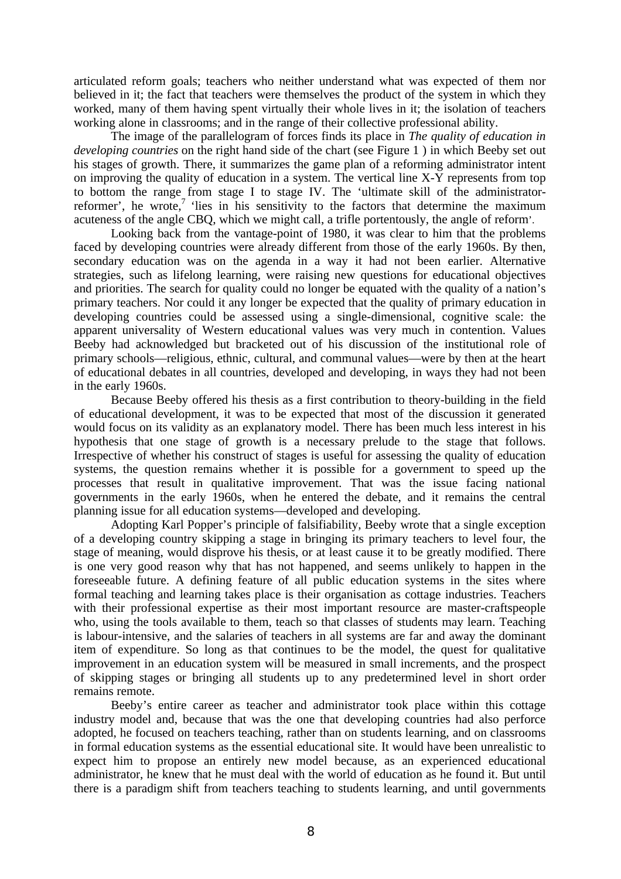articulated reform goals; teachers who neither understand what was expected of them nor believed in it; the fact that teachers were themselves the product of the system in which they worked, many of them having spent virtually their whole lives in it; the isolation of teachers working alone in classrooms; and in the range of their collective professional ability.

The image of the parallelogram of forces finds its place in *The quality of education in developing countries* on the right hand side of the chart (see Figure 1 ) in which Beeby set out his stages of growth. There, it summarizes the game plan of a reforming administrator intent on improving the quality of education in a system. The vertical line X-Y represents from top to bottom the range from stage I to stage IV. The 'ultimate skill of the administratorreformer', he wrote,<sup>7</sup> 'lies in his sensitivity to the factors that determine the maximum acuteness of the angle CBQ, which we might call, a trifle portentously, the angle of reform'.

Looking back from the vantage-point of 1980, it was clear to him that the problems faced by developing countries were already different from those of the early 1960s. By then, secondary education was on the agenda in a way it had not been earlier. Alternative strategies, such as lifelong learning, were raising new questions for educational objectives and priorities. The search for quality could no longer be equated with the quality of a nation's primary teachers. Nor could it any longer be expected that the quality of primary education in developing countries could be assessed using a single-dimensional, cognitive scale: the apparent universality of Western educational values was very much in contention. Values Beeby had acknowledged but bracketed out of his discussion of the institutional role of primary schools—religious, ethnic, cultural, and communal values—were by then at the heart of educational debates in all countries, developed and developing, in ways they had not been in the early 1960s.

Because Beeby offered his thesis as a first contribution to theory-building in the field of educational development, it was to be expected that most of the discussion it generated would focus on its validity as an explanatory model. There has been much less interest in his hypothesis that one stage of growth is a necessary prelude to the stage that follows. Irrespective of whether his construct of stages is useful for assessing the quality of education systems, the question remains whether it is possible for a government to speed up the processes that result in qualitative improvement. That was the issue facing national governments in the early 1960s, when he entered the debate, and it remains the central planning issue for all education systems—developed and developing.

Adopting Karl Popper's principle of falsifiability, Beeby wrote that a single exception of a developing country skipping a stage in bringing its primary teachers to level four, the stage of meaning, would disprove his thesis, or at least cause it to be greatly modified. There is one very good reason why that has not happened, and seems unlikely to happen in the foreseeable future. A defining feature of all public education systems in the sites where formal teaching and learning takes place is their organisation as cottage industries. Teachers with their professional expertise as their most important resource are master-craftspeople who, using the tools available to them, teach so that classes of students may learn. Teaching is labour-intensive, and the salaries of teachers in all systems are far and away the dominant item of expenditure. So long as that continues to be the model, the quest for qualitative improvement in an education system will be measured in small increments, and the prospect of skipping stages or bringing all students up to any predetermined level in short order remains remote.

Beeby's entire career as teacher and administrator took place within this cottage industry model and, because that was the one that developing countries had also perforce adopted, he focused on teachers teaching, rather than on students learning, and on classrooms in formal education systems as the essential educational site. It would have been unrealistic to expect him to propose an entirely new model because, as an experienced educational administrator, he knew that he must deal with the world of education as he found it. But until there is a paradigm shift from teachers teaching to students learning, and until governments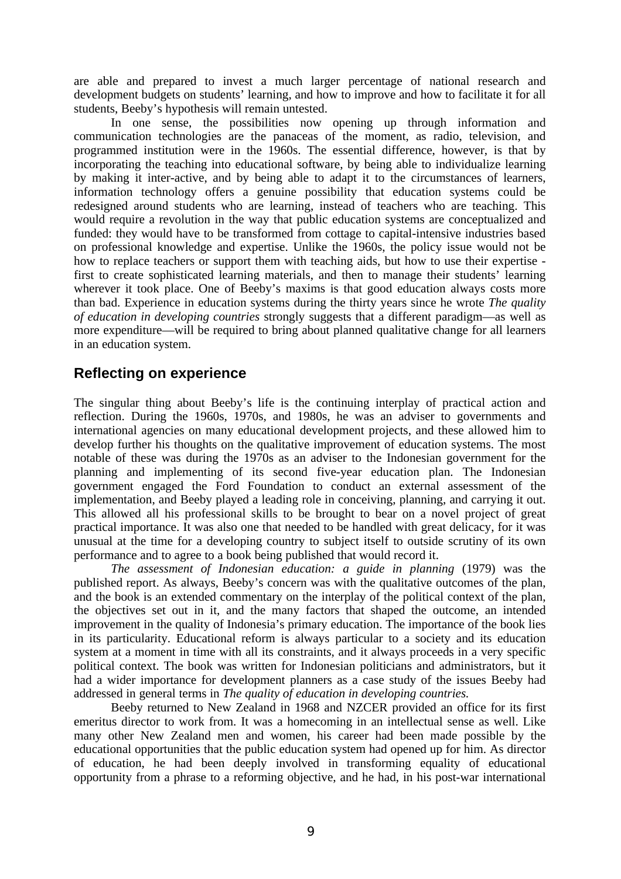are able and prepared to invest a much larger percentage of national research and development budgets on students' learning, and how to improve and how to facilitate it for all students, Beeby's hypothesis will remain untested.

In one sense, the possibilities now opening up through information and communication technologies are the panaceas of the moment, as radio, television, and programmed institution were in the 1960s. The essential difference, however, is that by incorporating the teaching into educational software, by being able to individualize learning by making it inter-active, and by being able to adapt it to the circumstances of learners, information technology offers a genuine possibility that education systems could be redesigned around students who are learning, instead of teachers who are teaching. This would require a revolution in the way that public education systems are conceptualized and funded: they would have to be transformed from cottage to capital-intensive industries based on professional knowledge and expertise. Unlike the 1960s, the policy issue would not be how to replace teachers or support them with teaching aids, but how to use their expertise first to create sophisticated learning materials, and then to manage their students' learning wherever it took place. One of Beeby's maxims is that good education always costs more than bad. Experience in education systems during the thirty years since he wrote *The quality of education in developing countries* strongly suggests that a different paradigm—as well as more expenditure—will be required to bring about planned qualitative change for all learners in an education system.

#### **Reflecting on experience**

The singular thing about Beeby's life is the continuing interplay of practical action and reflection. During the 1960s, 1970s, and 1980s, he was an adviser to governments and international agencies on many educational development projects, and these allowed him to develop further his thoughts on the qualitative improvement of education systems. The most notable of these was during the 1970s as an adviser to the Indonesian government for the planning and implementing of its second five-year education plan. The Indonesian government engaged the Ford Foundation to conduct an external assessment of the implementation, and Beeby played a leading role in conceiving, planning, and carrying it out. This allowed all his professional skills to be brought to bear on a novel project of great practical importance. It was also one that needed to be handled with great delicacy, for it was unusual at the time for a developing country to subject itself to outside scrutiny of its own performance and to agree to a book being published that would record it.

*The assessment of Indonesian education: a guide in planning* (1979) was the published report. As always, Beeby's concern was with the qualitative outcomes of the plan, and the book is an extended commentary on the interplay of the political context of the plan, the objectives set out in it, and the many factors that shaped the outcome, an intended improvement in the quality of Indonesia's primary education. The importance of the book lies in its particularity. Educational reform is always particular to a society and its education system at a moment in time with all its constraints, and it always proceeds in a very specific political context. The book was written for Indonesian politicians and administrators, but it had a wider importance for development planners as a case study of the issues Beeby had addressed in general terms in *The quality of education in developing countries.*

Beeby returned to New Zealand in 1968 and NZCER provided an office for its first emeritus director to work from. It was a homecoming in an intellectual sense as well. Like many other New Zealand men and women, his career had been made possible by the educational opportunities that the public education system had opened up for him. As director of education, he had been deeply involved in transforming equality of educational opportunity from a phrase to a reforming objective, and he had, in his post-war international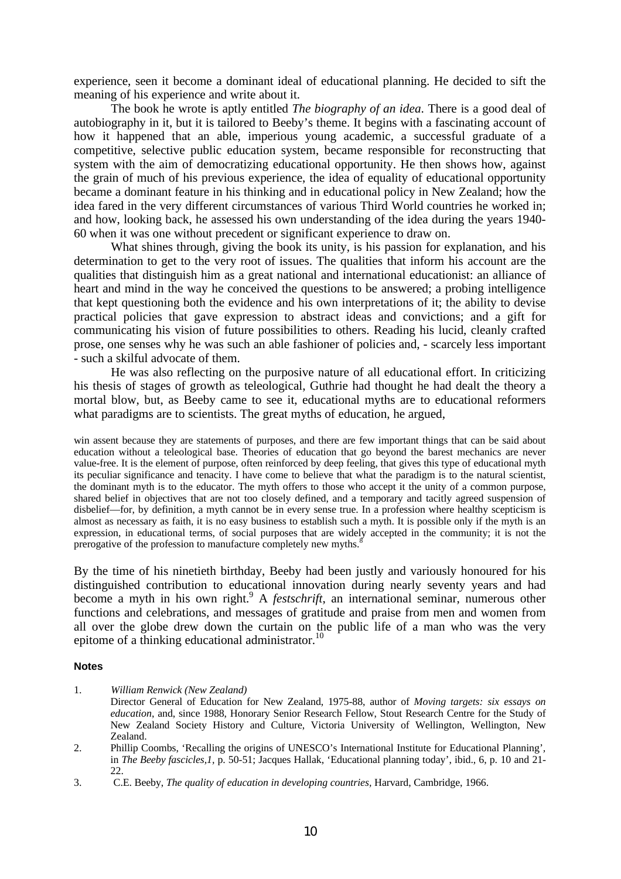experience, seen it become a dominant ideal of educational planning. He decided to sift the meaning of his experience and write about it.

The book he wrote is aptly entitled *The biography of an idea*. There is a good deal of autobiography in it, but it is tailored to Beeby's theme. It begins with a fascinating account of how it happened that an able, imperious young academic, a successful graduate of a competitive, selective public education system, became responsible for reconstructing that system with the aim of democratizing educational opportunity. He then shows how, against the grain of much of his previous experience, the idea of equality of educational opportunity became a dominant feature in his thinking and in educational policy in New Zealand; how the idea fared in the very different circumstances of various Third World countries he worked in; and how, looking back, he assessed his own understanding of the idea during the years 1940- 60 when it was one without precedent or significant experience to draw on.

What shines through, giving the book its unity, is his passion for explanation, and his determination to get to the very root of issues. The qualities that inform his account are the qualities that distinguish him as a great national and international educationist: an alliance of heart and mind in the way he conceived the questions to be answered; a probing intelligence that kept questioning both the evidence and his own interpretations of it; the ability to devise practical policies that gave expression to abstract ideas and convictions; and a gift for communicating his vision of future possibilities to others. Reading his lucid, cleanly crafted prose, one senses why he was such an able fashioner of policies and, - scarcely less important - such a skilful advocate of them.

He was also reflecting on the purposive nature of all educational effort. In criticizing his thesis of stages of growth as teleological, Guthrie had thought he had dealt the theory a mortal blow, but, as Beeby came to see it, educational myths are to educational reformers what paradigms are to scientists. The great myths of education, he argued,

win assent because they are statements of purposes, and there are few important things that can be said about education without a teleological base. Theories of education that go beyond the barest mechanics are never value-free. It is the element of purpose, often reinforced by deep feeling, that gives this type of educational myth its peculiar significance and tenacity. I have come to believe that what the paradigm is to the natural scientist, the dominant myth is to the educator. The myth offers to those who accept it the unity of a common purpose, shared belief in objectives that are not too closely defined, and a temporary and tacitly agreed suspension of disbelief—for, by definition, a myth cannot be in every sense true. In a profession where healthy scepticism is almost as necessary as faith, it is no easy business to establish such a myth. It is possible only if the myth is an expression, in educational terms, of social purposes that are widely accepted in the community; it is not the prerogative of the profession to manufacture completely new myths.<sup>8</sup>

By the time of his ninetieth birthday, Beeby had been justly and variously honoured for his distinguished contribution to educational innovation during nearly seventy years and had become a myth in his own right.<sup>9</sup> A *festschrift*, an international seminar, numerous other functions and celebrations, and messages of gratitude and praise from men and women from all over the globe drew down the curtain on the public life of a man who was the very epitome of a thinking educational administrator.<sup>10</sup>

#### **Notes**

- 1. *William Renwick (New Zealand)*
	- Director General of Education for New Zealand, 1975-88, author of *Moving targets: six essays on education*, and, since 1988, Honorary Senior Research Fellow, Stout Research Centre for the Study of New Zealand Society History and Culture, Victoria University of Wellington, Wellington, New Zealand.
- 2. Phillip Coombs, 'Recalling the origins of UNESCO's International Institute for Educational Planning'*,* in *The Beeby fascicles,1,* p. 50-51; Jacques Hallak, 'Educational planning today', ibid., 6, p. 10 and 21- 22.
- 3. C.E. Beeby, *The quality of education in developing countries,* Harvard, Cambridge, 1966.